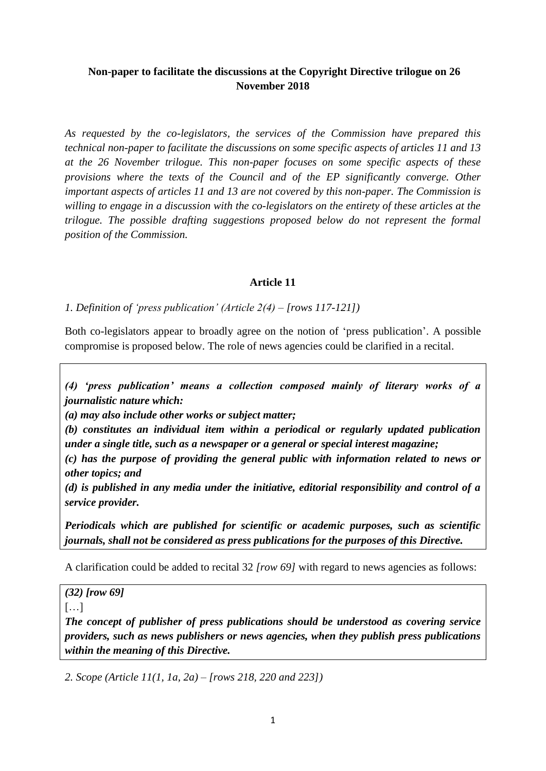## **Non-paper to facilitate the discussions at the Copyright Directive trilogue on 26 November 2018**

*As requested by the co-legislators, the services of the Commission have prepared this technical non-paper to facilitate the discussions on some specific aspects of articles 11 and 13 at the 26 November trilogue. This non-paper focuses on some specific aspects of these provisions where the texts of the Council and of the EP significantly converge. Other important aspects of articles 11 and 13 are not covered by this non-paper. The Commission is willing to engage in a discussion with the co-legislators on the entirety of these articles at the trilogue. The possible drafting suggestions proposed below do not represent the formal position of the Commission.* 

#### **Article 11**

*1. Definition of 'press publication' (Article 2(4) – [rows 117-121])*

Both co-legislators appear to broadly agree on the notion of 'press publication'. A possible compromise is proposed below. The role of news agencies could be clarified in a recital.

*(4) 'press publication' means a collection composed mainly of literary works of a journalistic nature which:*

*(a) may also include other works or subject matter;*

*(b) constitutes an individual item within a periodical or regularly updated publication under a single title, such as a newspaper or a general or special interest magazine;*

*(c) has the purpose of providing the general public with information related to news or other topics; and*

*(d) is published in any media under the initiative, editorial responsibility and control of a service provider.*

*Periodicals which are published for scientific or academic purposes, such as scientific journals, shall not be considered as press publications for the purposes of this Directive.* 

A clarification could be added to recital 32 *[row 69]* with regard to news agencies as follows:

*(32) [row 69]*

 $[...]$ 

*The concept of publisher of press publications should be understood as covering service providers, such as news publishers or news agencies, when they publish press publications within the meaning of this Directive.*

*2. Scope (Article 11(1, 1a, 2a) – [rows 218, 220 and 223])*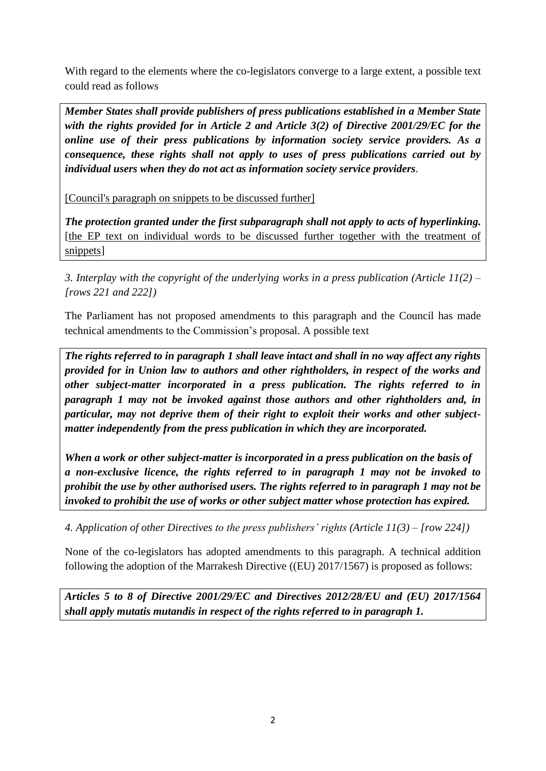With regard to the elements where the co-legislators converge to a large extent, a possible text could read as follows

*Member States shall provide publishers of press publications established in a Member State with the rights provided for in Article 2 and Article 3(2) of Directive 2001/29/EC for the online use of their press publications by information society service providers. As a consequence, these rights shall not apply to uses of press publications carried out by individual users when they do not act as information society service providers*.

[Council's paragraph on snippets to be discussed further]

*The protection granted under the first subparagraph shall not apply to acts of hyperlinking.* [the EP text on individual words to be discussed further together with the treatment of snippets]

*3. Interplay with the copyright of the underlying works in a press publication (Article 11(2) – [rows 221 and 222])*

The Parliament has not proposed amendments to this paragraph and the Council has made technical amendments to the Commission's proposal. A possible text

*The rights referred to in paragraph 1 shall leave intact and shall in no way affect any rights provided for in Union law to authors and other rightholders, in respect of the works and other subject-matter incorporated in a press publication. The rights referred to in paragraph 1 may not be invoked against those authors and other rightholders and, in particular, may not deprive them of their right to exploit their works and other subjectmatter independently from the press publication in which they are incorporated.*

*When a work or other subject-matter is incorporated in a press publication on the basis of a non-exclusive licence, the rights referred to in paragraph 1 may not be invoked to prohibit the use by other authorised users. The rights referred to in paragraph 1 may not be invoked to prohibit the use of works or other subject matter whose protection has expired.*

*4. Application of other Directives to the press publishers' rights (Article 11(3) – [row 224])*

None of the co-legislators has adopted amendments to this paragraph. A technical addition following the adoption of the Marrakesh Directive ((EU) 2017/1567) is proposed as follows:

*Articles 5 to 8 of Directive 2001/29/EC and Directives 2012/28/EU and (EU) 2017/1564 shall apply mutatis mutandis in respect of the rights referred to in paragraph 1.*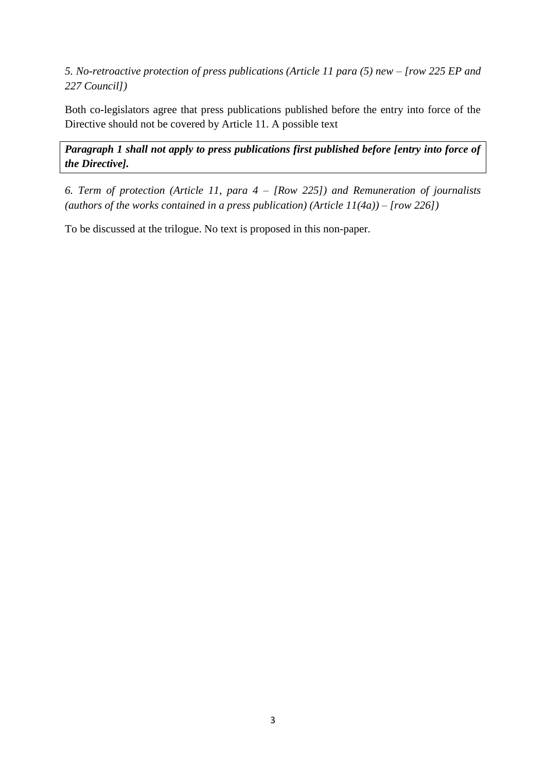*5. No-retroactive protection of press publications (Article 11 para (5) new – [row 225 EP and 227 Council])* 

Both co-legislators agree that press publications published before the entry into force of the Directive should not be covered by Article 11. A possible text

*Paragraph 1 shall not apply to press publications first published before [entry into force of the Directive].*

*6. Term of protection (Article 11, para 4 – [Row 225]) and Remuneration of journalists (authors of the works contained in a press publication) (Article 11(4a)) – [row 226])*

To be discussed at the trilogue. No text is proposed in this non-paper.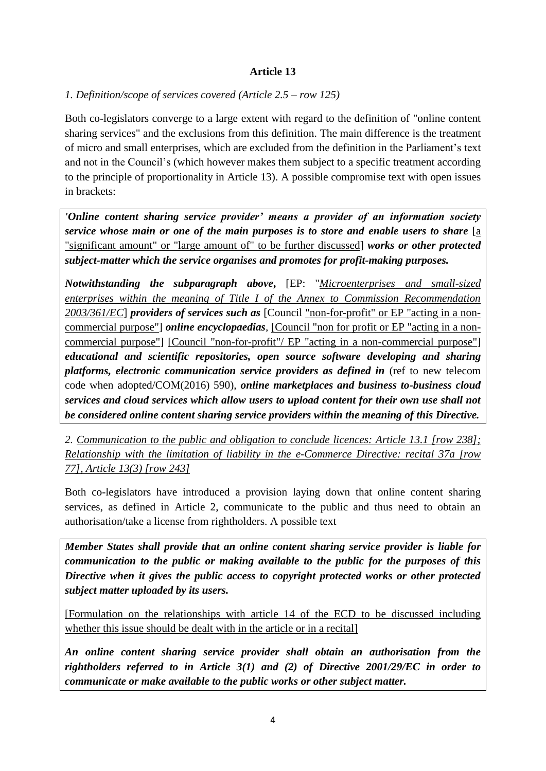### **Article 13**

#### *1. Definition/scope of services covered (Article 2.5 – row 125)*

Both co-legislators converge to a large extent with regard to the definition of "online content sharing services" and the exclusions from this definition. The main difference is the treatment of micro and small enterprises, which are excluded from the definition in the Parliament's text and not in the Council's (which however makes them subject to a specific treatment according to the principle of proportionality in Article 13). A possible compromise text with open issues in brackets:

*'Online content sharing service provider' means a provider of an information society service whose main or one of the main purposes is to store and enable users to share* [a "significant amount" or "large amount of" to be further discussed] *works or other protected subject-matter which the service organises and promotes for profit-making purposes.*

*Notwithstanding the subparagraph above***,** [EP: "*Microenterprises and small-sized enterprises within the meaning of Title I of the Annex to Commission Recommendation 2003/361/EC*] *providers of services such as* [Council "non-for-profit" or EP "acting in a noncommercial purpose"] *online encyclopaedias,* [Council "non for profit or EP "acting in a noncommercial purpose"] [Council "non-for-profit"/ EP "acting in a non-commercial purpose"] *educational and scientific repositories, open source software developing and sharing platforms, electronic communication service providers as defined in* (ref to new telecom code when adopted/COM(2016) 590), *online marketplaces and business to-business cloud services and cloud services which allow users to upload content for their own use shall not be considered online content sharing service providers within the meaning of this Directive.* 

*2. Communication to the public and obligation to conclude licences: Article 13.1 [row 238]; Relationship with the limitation of liability in the e-Commerce Directive: recital 37a [row 77], Article 13(3) [row 243]*

Both co-legislators have introduced a provision laying down that online content sharing services, as defined in Article 2, communicate to the public and thus need to obtain an authorisation/take a license from rightholders. A possible text

*Member States shall provide that an online content sharing service provider is liable for communication to the public or making available to the public for the purposes of this Directive when it gives the public access to copyright protected works or other protected subject matter uploaded by its users.* 

[Formulation on the relationships with article 14 of the ECD to be discussed including whether this issue should be dealt with in the article or in a recital]

*An online content sharing service provider shall obtain an authorisation from the rightholders referred to in Article 3(1) and (2) of Directive 2001/29/EC in order to communicate or make available to the public works or other subject matter.*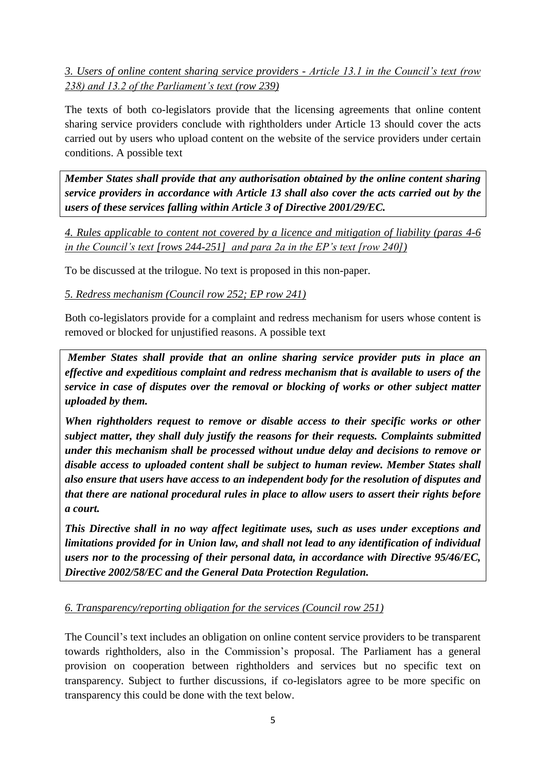*3. Users of online content sharing service providers - Article 13.1 in the Council's text (row 238) and 13.2 of the Parliament's text (row 239)*

The texts of both co-legislators provide that the licensing agreements that online content sharing service providers conclude with rightholders under Article 13 should cover the acts carried out by users who upload content on the website of the service providers under certain conditions. A possible text

*Member States shall provide that any authorisation obtained by the online content sharing service providers in accordance with Article 13 shall also cover the acts carried out by the users of these services falling within Article 3 of Directive 2001/29/EC.* 

*4. Rules applicable to content not covered by a licence and mitigation of liability (paras 4-6 in the Council's text [rows 244-251] and para 2a in the EP's text [row 240])*

To be discussed at the trilogue. No text is proposed in this non-paper.

*5. Redress mechanism (Council row 252; EP row 241)*

Both co-legislators provide for a complaint and redress mechanism for users whose content is removed or blocked for unjustified reasons. A possible text

*Member States shall provide that an online sharing service provider puts in place an effective and expeditious complaint and redress mechanism that is available to users of the service in case of disputes over the removal or blocking of works or other subject matter uploaded by them.* 

*When rightholders request to remove or disable access to their specific works or other subject matter, they shall duly justify the reasons for their requests. Complaints submitted under this mechanism shall be processed without undue delay and decisions to remove or disable access to uploaded content shall be subject to human review. Member States shall also ensure that users have access to an independent body for the resolution of disputes and that there are national procedural rules in place to allow users to assert their rights before a court.*

*This Directive shall in no way affect legitimate uses, such as uses under exceptions and limitations provided for in Union law, and shall not lead to any identification of individual users nor to the processing of their personal data, in accordance with Directive 95/46/EC, Directive 2002/58/EC and the General Data Protection Regulation.* 

*6. Transparency/reporting obligation for the services (Council row 251)*

The Council's text includes an obligation on online content service providers to be transparent towards rightholders, also in the Commission's proposal. The Parliament has a general provision on cooperation between rightholders and services but no specific text on transparency. Subject to further discussions, if co-legislators agree to be more specific on transparency this could be done with the text below.